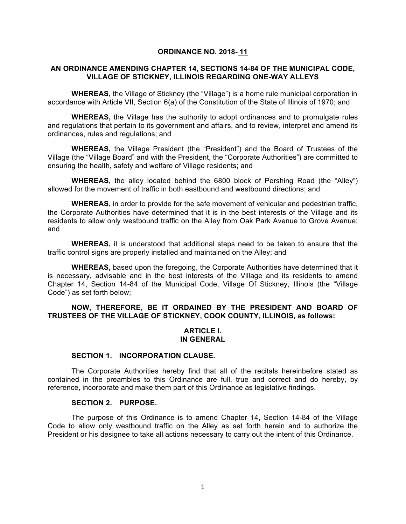#### **ORDINANCE NO. 2018- 11**

## **AN ORDINANCE AMENDING CHAPTER 14, SECTIONS 14-84 OF THE MUNICIPAL CODE, VILLAGE OF STICKNEY, ILLINOIS REGARDING ONE-WAY ALLEYS**

**WHEREAS,** the Village of Stickney (the "Village") is a home rule municipal corporation in accordance with Article VII, Section 6(a) of the Constitution of the State of Illinois of 1970; and

**WHEREAS,** the Village has the authority to adopt ordinances and to promulgate rules and regulations that pertain to its government and affairs, and to review, interpret and amend its ordinances, rules and regulations; and

**WHEREAS,** the Village President (the "President") and the Board of Trustees of the Village (the "Village Board" and with the President, the "Corporate Authorities") are committed to ensuring the health, safety and welfare of Village residents; and

**WHEREAS,** the alley located behind the 6800 block of Pershing Road (the "Alley") allowed for the movement of traffic in both eastbound and westbound directions; and

**WHEREAS,** in order to provide for the safe movement of vehicular and pedestrian traffic, the Corporate Authorities have determined that it is in the best interests of the Village and its residents to allow only westbound traffic on the Alley from Oak Park Avenue to Grove Avenue; and

**WHEREAS,** it is understood that additional steps need to be taken to ensure that the traffic control signs are properly installed and maintained on the Alley; and

**WHEREAS,** based upon the foregoing, the Corporate Authorities have determined that it is necessary, advisable and in the best interests of the Village and its residents to amend Chapter 14, Section 14-84 of the Municipal Code, Village Of Stickney, Illinois (the "Village Code") as set forth below;

## **NOW, THEREFORE, BE IT ORDAINED BY THE PRESIDENT AND BOARD OF TRUSTEES OF THE VILLAGE OF STICKNEY, COOK COUNTY, ILLINOIS, as follows:**

## **ARTICLE I. IN GENERAL**

### **SECTION 1. INCORPORATION CLAUSE.**

The Corporate Authorities hereby find that all of the recitals hereinbefore stated as contained in the preambles to this Ordinance are full, true and correct and do hereby, by reference, incorporate and make them part of this Ordinance as legislative findings.

### **SECTION 2. PURPOSE.**

The purpose of this Ordinance is to amend Chapter 14, Section 14-84 of the Village Code to allow only westbound traffic on the Alley as set forth herein and to authorize the President or his designee to take all actions necessary to carry out the intent of this Ordinance.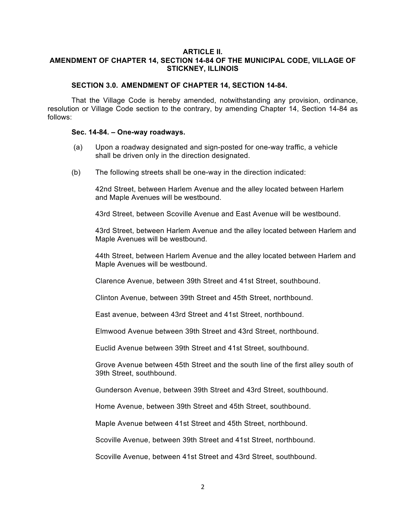### **ARTICLE II. AMENDMENT OF CHAPTER 14, SECTION 14-84 OF THE MUNICIPAL CODE, VILLAGE OF STICKNEY, ILLINOIS**

### **SECTION 3.0. AMENDMENT OF CHAPTER 14, SECTION 14-84.**

That the Village Code is hereby amended, notwithstanding any provision, ordinance, resolution or Village Code section to the contrary, by amending Chapter 14, Section 14-84 as follows:

#### **Sec. 14-84. – One-way roadways.**

- (a) Upon a roadway designated and sign-posted for one-way traffic, a vehicle shall be driven only in the direction designated.
- (b) The following streets shall be one-way in the direction indicated:

42nd Street, between Harlem Avenue and the alley located between Harlem and Maple Avenues will be westbound.

43rd Street, between Scoville Avenue and East Avenue will be westbound.

43rd Street, between Harlem Avenue and the alley located between Harlem and Maple Avenues will be westbound.

44th Street, between Harlem Avenue and the alley located between Harlem and Maple Avenues will be westbound.

Clarence Avenue, between 39th Street and 41st Street, southbound.

Clinton Avenue, between 39th Street and 45th Street, northbound.

East avenue, between 43rd Street and 41st Street, northbound.

Elmwood Avenue between 39th Street and 43rd Street, northbound.

Euclid Avenue between 39th Street and 41st Street, southbound.

Grove Avenue between 45th Street and the south line of the first alley south of 39th Street, southbound.

Gunderson Avenue, between 39th Street and 43rd Street, southbound.

Home Avenue, between 39th Street and 45th Street, southbound.

Maple Avenue between 41st Street and 45th Street, northbound.

Scoville Avenue, between 39th Street and 41st Street, northbound.

Scoville Avenue, between 41st Street and 43rd Street, southbound.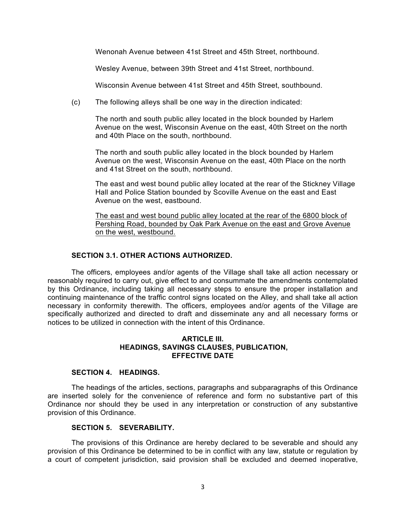Wenonah Avenue between 41st Street and 45th Street, northbound.

Wesley Avenue, between 39th Street and 41st Street, northbound.

Wisconsin Avenue between 41st Street and 45th Street, southbound.

(c) The following alleys shall be one way in the direction indicated:

The north and south public alley located in the block bounded by Harlem Avenue on the west, Wisconsin Avenue on the east, 40th Street on the north and 40th Place on the south, northbound.

The north and south public alley located in the block bounded by Harlem Avenue on the west, Wisconsin Avenue on the east, 40th Place on the north and 41st Street on the south, northbound.

The east and west bound public alley located at the rear of the Stickney Village Hall and Police Station bounded by Scoville Avenue on the east and East Avenue on the west, eastbound.

The east and west bound public alley located at the rear of the 6800 block of Pershing Road, bounded by Oak Park Avenue on the east and Grove Avenue on the west, westbound.

## **SECTION 3.1. OTHER ACTIONS AUTHORIZED.**

The officers, employees and/or agents of the Village shall take all action necessary or reasonably required to carry out, give effect to and consummate the amendments contemplated by this Ordinance, including taking all necessary steps to ensure the proper installation and continuing maintenance of the traffic control signs located on the Alley, and shall take all action necessary in conformity therewith. The officers, employees and/or agents of the Village are specifically authorized and directed to draft and disseminate any and all necessary forms or notices to be utilized in connection with the intent of this Ordinance.

### **ARTICLE III. HEADINGS, SAVINGS CLAUSES, PUBLICATION, EFFECTIVE DATE**

## **SECTION 4. HEADINGS.**

The headings of the articles, sections, paragraphs and subparagraphs of this Ordinance are inserted solely for the convenience of reference and form no substantive part of this Ordinance nor should they be used in any interpretation or construction of any substantive provision of this Ordinance.

## **SECTION 5. SEVERABILITY.**

The provisions of this Ordinance are hereby declared to be severable and should any provision of this Ordinance be determined to be in conflict with any law, statute or regulation by a court of competent jurisdiction, said provision shall be excluded and deemed inoperative,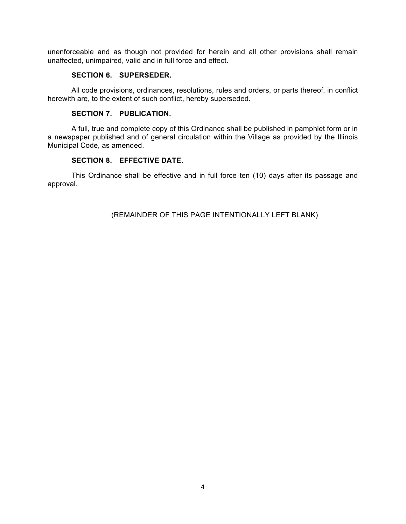unenforceable and as though not provided for herein and all other provisions shall remain unaffected, unimpaired, valid and in full force and effect.

### **SECTION 6. SUPERSEDER.**

All code provisions, ordinances, resolutions, rules and orders, or parts thereof, in conflict herewith are, to the extent of such conflict, hereby superseded.

## **SECTION 7. PUBLICATION.**

A full, true and complete copy of this Ordinance shall be published in pamphlet form or in a newspaper published and of general circulation within the Village as provided by the Illinois Municipal Code, as amended.

# **SECTION 8. EFFECTIVE DATE.**

This Ordinance shall be effective and in full force ten (10) days after its passage and approval.

(REMAINDER OF THIS PAGE INTENTIONALLY LEFT BLANK)